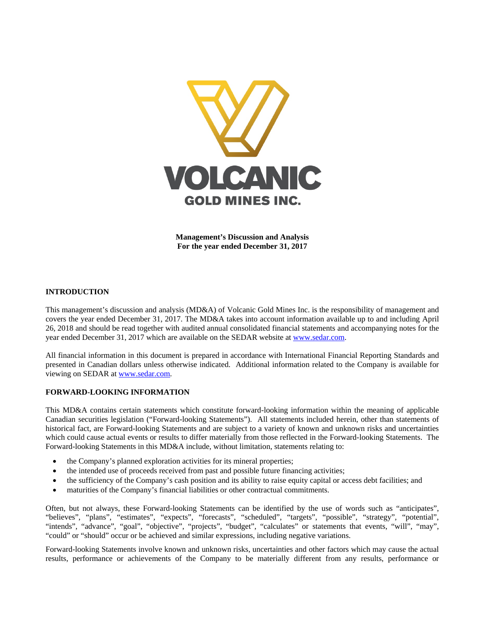

**Management's Discussion and Analysis For the year ended December 31, 2017**

# **INTRODUCTION**

This management's discussion and analysis (MD&A) of Volcanic Gold Mines Inc. is the responsibility of management and covers the year ended December 31, 2017. The MD&A takes into account information available up to and including April 26, 2018 and should be read together with audited annual consolidated financial statements and accompanying notes for the year ended December 31, 2017 which are available on the SEDAR website at [www.sedar.com.](http://www.sedar.com/)

All financial information in this document is prepared in accordance with International Financial Reporting Standards and presented in Canadian dollars unless otherwise indicated. Additional information related to the Company is available for viewing on SEDAR at [www.sedar.com.](http://www.sedar.com/)

# **FORWARD-LOOKING INFORMATION**

This MD&A contains certain statements which constitute forward-looking information within the meaning of applicable Canadian securities legislation ("Forward-looking Statements"). All statements included herein, other than statements of historical fact, are Forward-looking Statements and are subject to a variety of known and unknown risks and uncertainties which could cause actual events or results to differ materially from those reflected in the Forward-looking Statements. The Forward-looking Statements in this MD&A include, without limitation, statements relating to:

- the Company's planned exploration activities for its mineral properties;
- the intended use of proceeds received from past and possible future financing activities;
- the sufficiency of the Company's cash position and its ability to raise equity capital or access debt facilities; and
- maturities of the Company's financial liabilities or other contractual commitments.

Often, but not always, these Forward-looking Statements can be identified by the use of words such as "anticipates", "believes", "plans", "estimates", "expects", "forecasts", "scheduled", "targets", "possible", "strategy", "potential", "intends", "advance", "goal", "objective", "projects", "budget", "calculates" or statements that events, "will", "may", "could" or "should" occur or be achieved and similar expressions, including negative variations.

Forward-looking Statements involve known and unknown risks, uncertainties and other factors which may cause the actual results, performance or achievements of the Company to be materially different from any results, performance or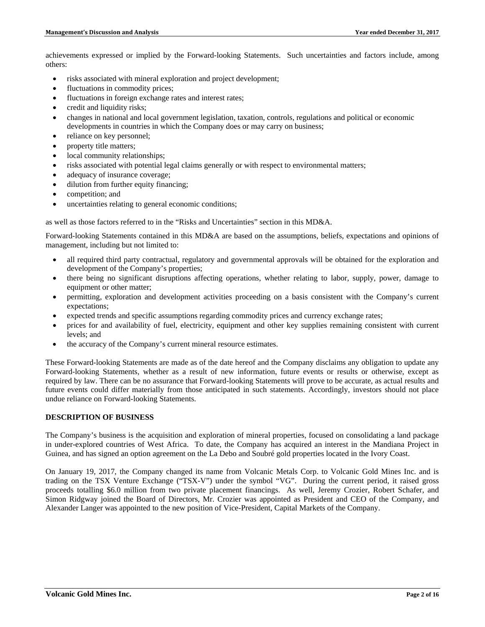achievements expressed or implied by the Forward-looking Statements. Such uncertainties and factors include, among others:

- risks associated with mineral exploration and project development;
- fluctuations in commodity prices;
- fluctuations in foreign exchange rates and interest rates;
- credit and liquidity risks;
- changes in national and local government legislation, taxation, controls, regulations and political or economic developments in countries in which the Company does or may carry on business;
- reliance on key personnel;
- property title matters;
- local community relationships;
- risks associated with potential legal claims generally or with respect to environmental matters;
- adequacy of insurance coverage;
- dilution from further equity financing;
- competition; and
- uncertainties relating to general economic conditions;

as well as those factors referred to in the "Risks and Uncertainties" section in this MD&A.

Forward-looking Statements contained in this MD&A are based on the assumptions, beliefs, expectations and opinions of management, including but not limited to:

- all required third party contractual, regulatory and governmental approvals will be obtained for the exploration and development of the Company's properties;
- there being no significant disruptions affecting operations, whether relating to labor, supply, power, damage to equipment or other matter;
- permitting, exploration and development activities proceeding on a basis consistent with the Company's current expectations;
- expected trends and specific assumptions regarding commodity prices and currency exchange rates;
- prices for and availability of fuel, electricity, equipment and other key supplies remaining consistent with current levels; and
- the accuracy of the Company's current mineral resource estimates.

These Forward-looking Statements are made as of the date hereof and the Company disclaims any obligation to update any Forward-looking Statements, whether as a result of new information, future events or results or otherwise, except as required by law. There can be no assurance that Forward-looking Statements will prove to be accurate, as actual results and future events could differ materially from those anticipated in such statements. Accordingly, investors should not place undue reliance on Forward-looking Statements.

# **DESCRIPTION OF BUSINESS**

The Company's business is the acquisition and exploration of mineral properties, focused on consolidating a land package in under-explored countries of West Africa. To date, the Company has acquired an interest in the Mandiana Project in Guinea, and has signed an option agreement on the La Debo and Soubré gold properties located in the Ivory Coast.

On January 19, 2017, the Company changed its name from Volcanic Metals Corp. to Volcanic Gold Mines Inc. and is trading on the TSX Venture Exchange ("TSX-V") under the symbol "VG". During the current period, it raised gross proceeds totalling \$6.0 million from two private placement financings. As well, Jeremy Crozier, Robert Schafer, and Simon Ridgway joined the Board of Directors, Mr. Crozier was appointed as President and CEO of the Company, and Alexander Langer was appointed to the new position of Vice-President, Capital Markets of the Company.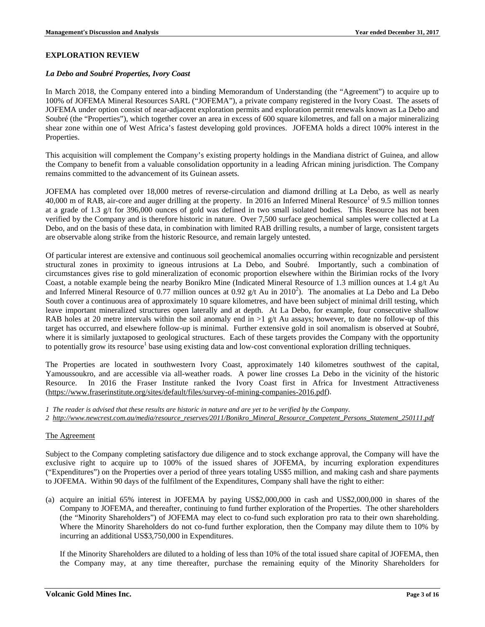# **EXPLORATION REVIEW**

### *La Debo and Soubré Properties, Ivory Coast*

In March 2018, the Company entered into a binding Memorandum of Understanding (the "Agreement") to acquire up to 100% of JOFEMA Mineral Resources SARL ("JOFEMA"), a private company registered in the Ivory Coast. The assets of JOFEMA under option consist of near-adjacent exploration permits and exploration permit renewals known as La Debo and Soubré (the "Properties"), which together cover an area in excess of 600 square kilometres, and fall on a major mineralizing shear zone within one of West Africa's fastest developing gold provinces. JOFEMA holds a direct 100% interest in the Properties.

This acquisition will complement the Company's existing property holdings in the Mandiana district of Guinea, and allow the Company to benefit from a valuable consolidation opportunity in a leading African mining jurisdiction. The Company remains committed to the advancement of its Guinean assets.

JOFEMA has completed over 18,000 metres of reverse-circulation and diamond drilling at La Debo, as well as nearly  $40,000$  m of RAB, air-core and auger drilling at the property. In 2016 an Inferred Mineral Resource<sup>1</sup> of 9.5 million tonnes at a grade of 1.3 g/t for 396,000 ounces of gold was defined in two small isolated bodies. This Resource has not been verified by the Company and is therefore historic in nature. Over 7,500 surface geochemical samples were collected at La Debo, and on the basis of these data, in combination with limited RAB drilling results, a number of large, consistent targets are observable along strike from the historic Resource, and remain largely untested.

Of particular interest are extensive and continuous soil geochemical anomalies occurring within recognizable and persistent structural zones in proximity to igneous intrusions at La Debo, and Soubré. Importantly, such a combination of circumstances gives rise to gold mineralization of economic proportion elsewhere within the Birimian rocks of the Ivory Coast, a notable example being the nearby Bonikro Mine (Indicated Mineral Resource of 1.3 million ounces at 1.4 g/t Au and Inferred Mineral Resource of 0.77 million ounces at 0.92  $g/t$  Au in 2010<sup>2</sup>). The anomalies at La Debo and La Debo South cover a continuous area of approximately 10 square kilometres, and have been subject of minimal drill testing, which leave important mineralized structures open laterally and at depth. At La Debo, for example, four consecutive shallow RAB holes at 20 metre intervals within the soil anomaly end in  $>1$  g/t Au assays; however, to date no follow-up of this target has occurred, and elsewhere follow-up is minimal. Further extensive gold in soil anomalism is observed at Soubré, where it is similarly juxtaposed to geological structures. Each of these targets provides the Company with the opportunity to potentially grow its resource<sup>1</sup> base using existing data and low-cost conventional exploration drilling techniques.

The Properties are located in southwestern Ivory Coast, approximately 140 kilometres southwest of the capital, Yamoussoukro, and are accessible via all-weather roads. A power line crosses La Debo in the vicinity of the historic Resource. In 2016 the Fraser Institute ranked the Ivory Coast first in Africa for Investment Attractiveness [\(https://www.fraserinstitute.org/sites/default/files/survey-of-mining-companies-2016.pdf\)](https://www.fraserinstitute.org/sites/default/files/survey-of-mining-companies-2016.pdf).

- *1 The reader is advised that these results are historic in nature and are yet to be verified by the Company.*
- *2 [http://www.newcrest.com.au/media/resource\\_reserves/2011/Bonikro\\_Mineral\\_Resource\\_Competent\\_Persons\\_Statement\\_250111.pdf](http://www.newcrest.com.au/media/resource_reserves/2011/Bonikro_Mineral_Resource_Competent_Persons_Statement_250111.pdf)*

# The Agreement

Subject to the Company completing satisfactory due diligence and to stock exchange approval, the Company will have the exclusive right to acquire up to 100% of the issued shares of JOFEMA, by incurring exploration expenditures ("Expenditures") on the Properties over a period of three years totaling US\$5 million, and making cash and share payments to JOFEMA. Within 90 days of the fulfilment of the Expenditures, Company shall have the right to either:

(a) acquire an initial 65% interest in JOFEMA by paying US\$2,000,000 in cash and US\$2,000,000 in shares of the Company to JOFEMA, and thereafter, continuing to fund further exploration of the Properties. The other shareholders (the "Minority Shareholders") of JOFEMA may elect to co-fund such exploration pro rata to their own shareholding. Where the Minority Shareholders do not co-fund further exploration, then the Company may dilute them to 10% by incurring an additional US\$3,750,000 in Expenditures.

If the Minority Shareholders are diluted to a holding of less than 10% of the total issued share capital of JOFEMA, then the Company may, at any time thereafter, purchase the remaining equity of the Minority Shareholders for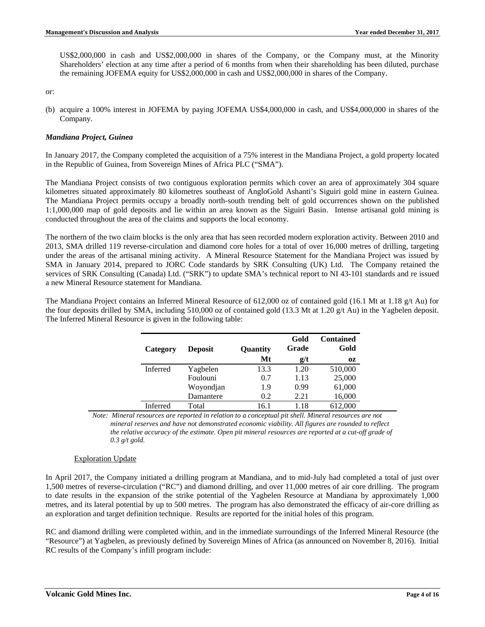US\$2,000,000 in cash and US\$2,000,000 in shares of the Company, or the Company must, at the Minority Shareholders' election at any time after a period of 6 months from when their shareholding has been diluted, purchase the remaining JOFEMA equity for US\$2,000,000 in cash and US\$2,000,000 in shares of the Company.

or:

(b) acquire a 100% interest in JOFEMA by paying JOFEMA US\$4,000,000 in cash, and US\$4,000,000 in shares of the Company.

# *Mandiana Project, Guinea*

In January 2017, the Company completed the acquisition of a 75% interest in the Mandiana Project, a gold property located in the Republic of Guinea, from Sovereign Mines of Africa PLC ("SMA").

The Mandiana Project consists of two contiguous exploration permits which cover an area of approximately 304 square kilometres situated approximately 80 kilometres southeast of AngloGold Ashanti's Siguiri gold mine in eastern Guinea. The Mandiana Project permits occupy a broadly north-south trending belt of gold occurrences shown on the published 1:1,000,000 map of gold deposits and lie within an area known as the Siguiri Basin. Intense artisanal gold mining is conducted throughout the area of the claims and supports the local economy.

The northern of the two claim blocks is the only area that has seen recorded modern exploration activity. Between 2010 and 2013, SMA drilled 119 reverse-circulation and diamond core holes for a total of over 16,000 metres of drilling, targeting under the areas of the artisanal mining activity. A Mineral Resource Statement for the Mandiana Project was issued by SMA in January 2014, prepared to JORC Code standards by SRK Consulting (UK) Ltd. The Company retained the services of SRK Consulting (Canada) Ltd. ("SRK") to update SMA's technical report to NI 43-101 standards and re issued a new Mineral Resource statement for Mandiana.

The Mandiana Project contains an Inferred Mineral Resource of 612,000 oz of contained gold (16.1 Mt at 1.18 g/t Au) for the four deposits drilled by SMA, including 510,000 oz of contained gold (13.3 Mt at 1.20 g/t Au) in the Yagbelen deposit. The Inferred Mineral Resource is given in the following table:

| Category        | <b>Deposit</b> | Quantity | Gold<br>Grade | <b>Contained</b><br>Gold |
|-----------------|----------------|----------|---------------|--------------------------|
|                 |                | Mt       | g/t           | 0Z                       |
| <b>Inferred</b> | Yagbelen       | 13.3     | 1.20          | 510,000                  |
|                 | Foulouni       | 0.7      | 1.13          | 25,000                   |
|                 | Woyondjan      | 1.9      | 0.99          | 61,000                   |
|                 | Damantere      | 0.2      | 2.21          | 16,000                   |
| <b>Inferred</b> | Total          | 16.1     | 1.18          | 612,000                  |

*Note: Mineral resources are reported in relation to a conceptual pit shell. Mineral resources are not mineral reserves and have not demonstrated economic viability. All figures are rounded to reflect the relative accuracy of the estimate. Open pit mineral resources are reported at a cut-off grade of 0.3 g/t gold.* 

# Exploration Update

In April 2017, the Company initiated a drilling program at Mandiana, and to mid-July had completed a total of just over 1,500 metres of reverse-circulation ("RC") and diamond drilling, and over 11,000 metres of air core drilling. The program to date results in the expansion of the strike potential of the Yagbelen Resource at Mandiana by approximately 1,000 metres, and its lateral potential by up to 500 metres. The program has also demonstrated the efficacy of air-core drilling as an exploration and target definition technique. Results are reported for the initial holes of this program.

RC and diamond drilling were completed within, and in the immediate surroundings of the Inferred Mineral Resource (the "Resource") at Yagbelen, as previously defined by Sovereign Mines of Africa (as announced on November 8, 2016). Initial RC results of the Company's infill program include: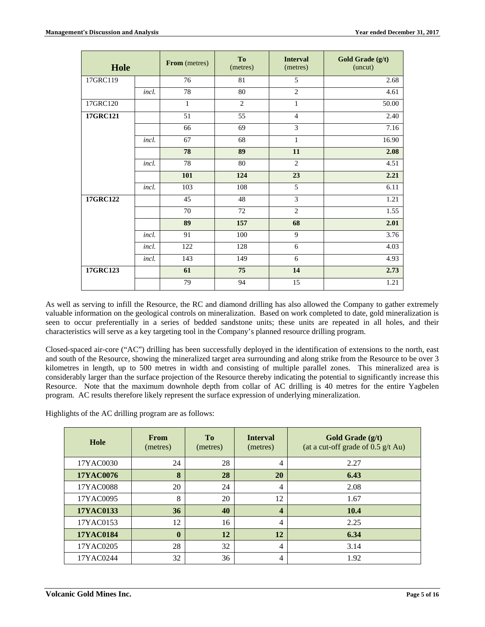| Hole           |       | From (metres)   | To<br>(metres)  | <b>Interval</b><br>(metres) | Gold Grade (g/t)<br>(uncut) |
|----------------|-------|-----------------|-----------------|-----------------------------|-----------------------------|
| 17GRC119       |       | $\overline{76}$ | 81              | 5                           | 2.68                        |
|                | incl. | 78              | $\overline{80}$ | $\overline{2}$              | 4.61                        |
| 17GRC120       |       | $\mathbf{1}$    | $\overline{c}$  | $\mathbf{1}$                | 50.00                       |
| 17GRC121       |       | 51              | 55              | $\overline{4}$              | 2.40                        |
|                |       | 66              | 69              | 3                           | 7.16                        |
|                | incl. | 67              | 68              | $\mathbf{1}$                | 16.90                       |
|                |       | 78              | 89              | 11                          | 2.08                        |
|                | incl. | 78              | $80\,$          | $\overline{2}$              | 4.51                        |
|                |       | 101             | 124             | 23                          | 2.21                        |
|                | incl. | 103             | 108             | $\overline{5}$              | 6.11                        |
| $17$ GRC $122$ |       | 45              | 48              | $\overline{3}$              | 1.21                        |
|                |       | 70              | 72              | $\overline{2}$              | 1.55                        |
|                |       | 89              | 157             | 68                          | 2.01                        |
|                | incl. | 91              | 100             | 9                           | 3.76                        |
|                | incl. | 122             | 128             | 6                           | 4.03                        |
|                | incl. | 143             | 149             | 6                           | 4.93                        |
| 17GRC123       |       | 61              | 75              | 14                          | 2.73                        |
|                |       | 79              | 94              | 15                          | 1.21                        |

As well as serving to infill the Resource, the RC and diamond drilling has also allowed the Company to gather extremely valuable information on the geological controls on mineralization. Based on work completed to date, gold mineralization is seen to occur preferentially in a series of bedded sandstone units; these units are repeated in all holes, and their characteristics will serve as a key targeting tool in the Company's planned resource drilling program.

Closed-spaced air-core ("AC") drilling has been successfully deployed in the identification of extensions to the north, east and south of the Resource, showing the mineralized target area surrounding and along strike from the Resource to be over 3 kilometres in length, up to 500 metres in width and consisting of multiple parallel zones. This mineralized area is considerably larger than the surface projection of the Resource thereby indicating the potential to significantly increase this Resource. Note that the maximum downhole depth from collar of AC drilling is 40 metres for the entire Yagbelen program. AC results therefore likely represent the surface expression of underlying mineralization.

Highlights of the AC drilling program are as follows:

| Hole             | <b>From</b><br>(metres) | T <sub>0</sub><br>(metres) | <b>Interval</b><br>(metres) | Gold Grade (g/t)<br>(at a cut-off grade of $0.5$ g/t Au) |
|------------------|-------------------------|----------------------------|-----------------------------|----------------------------------------------------------|
| 17YAC0030        | 24                      | 28                         | 4                           | 2.27                                                     |
| <b>17YAC0076</b> | 8                       | 28                         | 20                          | 6.43                                                     |
| 17YAC0088        | 20                      | 24                         | 4                           | 2.08                                                     |
| 17YAC0095        | 8                       | 20                         | 12                          | 1.67                                                     |
| 17YAC0133        | 36                      | 40                         | $\overline{\mathbf{4}}$     | 10.4                                                     |
| 17YAC0153        | 12                      | 16                         | $\overline{4}$              | 2.25                                                     |
| <b>17YAC0184</b> | $\mathbf{0}$            | 12                         | 12                          | 6.34                                                     |
| 17YAC0205        | 28                      | 32                         | $\overline{4}$              | 3.14                                                     |
| 17YAC0244        | 32                      | 36                         | 4                           | 1.92                                                     |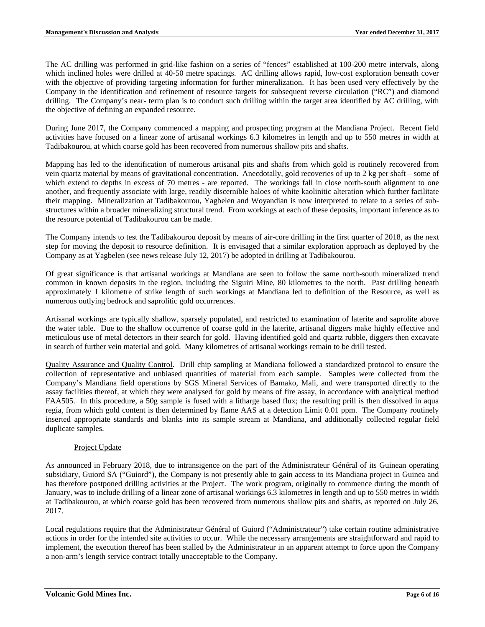The AC drilling was performed in grid-like fashion on a series of "fences" established at 100-200 metre intervals, along which inclined holes were drilled at 40-50 metre spacings. AC drilling allows rapid, low-cost exploration beneath cover with the objective of providing targeting information for further mineralization. It has been used very effectively by the Company in the identification and refinement of resource targets for subsequent reverse circulation ("RC") and diamond drilling. The Company's near- term plan is to conduct such drilling within the target area identified by AC drilling, with the objective of defining an expanded resource.

During June 2017, the Company commenced a mapping and prospecting program at the Mandiana Project. Recent field activities have focused on a linear zone of artisanal workings 6.3 kilometres in length and up to 550 metres in width at Tadibakourou, at which coarse gold has been recovered from numerous shallow pits and shafts.

Mapping has led to the identification of numerous artisanal pits and shafts from which gold is routinely recovered from vein quartz material by means of gravitational concentration. Anecdotally, gold recoveries of up to 2 kg per shaft – some of which extend to depths in excess of 70 metres - are reported. The workings fall in close north-south alignment to one another, and frequently associate with large, readily discernible haloes of white kaolinitic alteration which further facilitate their mapping. Mineralization at Tadibakourou, Yagbelen and Woyandian is now interpreted to relate to a series of substructures within a broader mineralizing structural trend. From workings at each of these deposits, important inference as to the resource potential of Tadibakourou can be made.

The Company intends to test the Tadibakourou deposit by means of air-core drilling in the first quarter of 2018, as the next step for moving the deposit to resource definition. It is envisaged that a similar exploration approach as deployed by the Company as at Yagbelen (see news release July 12, 2017) be adopted in drilling at Tadibakourou.

Of great significance is that artisanal workings at Mandiana are seen to follow the same north-south mineralized trend common in known deposits in the region, including the Siguiri Mine, 80 kilometres to the north. Past drilling beneath approximately 1 kilometre of strike length of such workings at Mandiana led to definition of the Resource, as well as numerous outlying bedrock and saprolitic gold occurrences.

Artisanal workings are typically shallow, sparsely populated, and restricted to examination of laterite and saprolite above the water table. Due to the shallow occurrence of coarse gold in the laterite, artisanal diggers make highly effective and meticulous use of metal detectors in their search for gold. Having identified gold and quartz rubble, diggers then excavate in search of further vein material and gold. Many kilometres of artisanal workings remain to be drill tested.

Quality Assurance and Quality Control. Drill chip sampling at Mandiana followed a standardized protocol to ensure the collection of representative and unbiased quantities of material from each sample. Samples were collected from the Company's Mandiana field operations by SGS Mineral Services of Bamako, Mali, and were transported directly to the assay facilities thereof, at which they were analysed for gold by means of fire assay, in accordance with analytical method FAA505. In this procedure, a 50g sample is fused with a litharge based flux; the resulting prill is then dissolved in aqua regia, from which gold content is then determined by flame AAS at a detection Limit 0.01 ppm. The Company routinely inserted appropriate standards and blanks into its sample stream at Mandiana, and additionally collected regular field duplicate samples.

# Project Update

As announced in February 2018, due to intransigence on the part of the Administrateur Général of its Guinean operating subsidiary, Guiord SA ("Guiord"), the Company is not presently able to gain access to its Mandiana project in Guinea and has therefore postponed drilling activities at the Project. The work program, originally to commence during the month of January, was to include drilling of a linear zone of artisanal workings 6.3 kilometres in length and up to 550 metres in width at Tadibakourou, at which coarse gold has been recovered from numerous shallow pits and shafts, as reported on July 26, 2017.

Local regulations require that the Administrateur Général of Guiord ("Administrateur") take certain routine administrative actions in order for the intended site activities to occur. While the necessary arrangements are straightforward and rapid to implement, the execution thereof has been stalled by the Administrateur in an apparent attempt to force upon the Company a non-arm's length service contract totally unacceptable to the Company.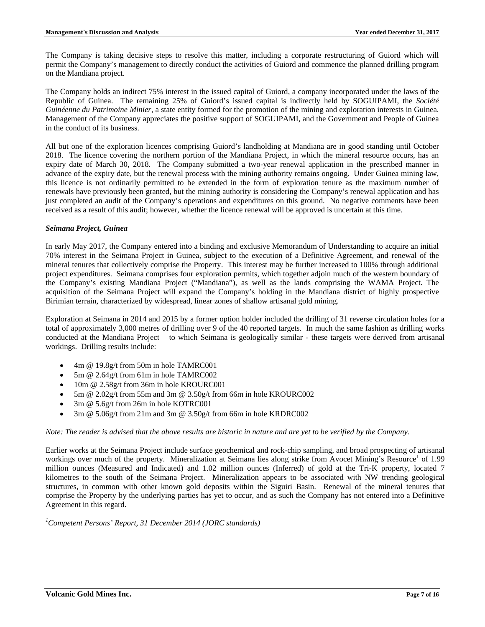The Company is taking decisive steps to resolve this matter, including a corporate restructuring of Guiord which will permit the Company's management to directly conduct the activities of Guiord and commence the planned drilling program on the Mandiana project.

The Company holds an indirect 75% interest in the issued capital of Guiord, a company incorporated under the laws of the Republic of Guinea. The remaining 25% of Guiord's issued capital is indirectly held by SOGUIPAMI, the *Société Guinéenne du Patrimoine Minier*, a state entity formed for the promotion of the mining and exploration interests in Guinea. Management of the Company appreciates the positive support of SOGUIPAMI, and the Government and People of Guinea in the conduct of its business.

All but one of the exploration licences comprising Guiord's landholding at Mandiana are in good standing until October 2018. The licence covering the northern portion of the Mandiana Project, in which the mineral resource occurs, has an expiry date of March 30, 2018. The Company submitted a two-year renewal application in the prescribed manner in advance of the expiry date, but the renewal process with the mining authority remains ongoing. Under Guinea mining law, this licence is not ordinarily permitted to be extended in the form of exploration tenure as the maximum number of renewals have previously been granted, but the mining authority is considering the Company's renewal application and has just completed an audit of the Company's operations and expenditures on this ground. No negative comments have been received as a result of this audit; however, whether the licence renewal will be approved is uncertain at this time.

# *Seimana Project, Guinea*

In early May 2017, the Company entered into a binding and exclusive Memorandum of Understanding to acquire an initial 70% interest in the Seimana Project in Guinea, subject to the execution of a Definitive Agreement, and renewal of the mineral tenures that collectively comprise the Property. This interest may be further increased to 100% through additional project expenditures. Seimana comprises four exploration permits, which together adjoin much of the western boundary of the Company's existing Mandiana Project ("Mandiana"), as well as the lands comprising the WAMA Project. The acquisition of the Seimana Project will expand the Company's holding in the Mandiana district of highly prospective Birimian terrain, characterized by widespread, linear zones of shallow artisanal gold mining.

Exploration at Seimana in 2014 and 2015 by a former option holder included the drilling of 31 reverse circulation holes for a total of approximately 3,000 metres of drilling over 9 of the 40 reported targets. In much the same fashion as drilling works conducted at the Mandiana Project – to which Seimana is geologically similar - these targets were derived from artisanal workings. Drilling results include:

- 4m @ 19.8g/t from 50m in hole TAMRC001
- 5m @ 2.64g/t from 61m in hole TAMRC002
- 10m @ 2.58g/t from 36m in hole KROURC001
- 5m @ 2.02g/t from 55m and 3m @ 3.50g/t from 66m in hole KROURC002
- 3m @ 5.6g/t from 26m in hole KOTRC001
- 3m @ 5.06g/t from 21m and 3m @ 3.50g/t from 66m in hole KRDRC002

# *Note: The reader is advised that the above results are historic in nature and are yet to be verified by the Company.*

Earlier works at the Seimana Project include surface geochemical and rock-chip sampling, and broad prospecting of artisanal workings over much of the property. Mineralization at Seimana lies along strike from Avocet Mining's Resource<sup>1</sup> of 1.99 million ounces (Measured and Indicated) and 1.02 million ounces (Inferred) of gold at the Tri-K property, located 7 kilometres to the south of the Seimana Project. Mineralization appears to be associated with NW trending geological structures, in common with other known gold deposits within the Siguiri Basin. Renewal of the mineral tenures that comprise the Property by the underlying parties has yet to occur, and as such the Company has not entered into a Definitive Agreement in this regard.

# *1 Competent Persons' Report, 31 December 2014 (JORC standards)*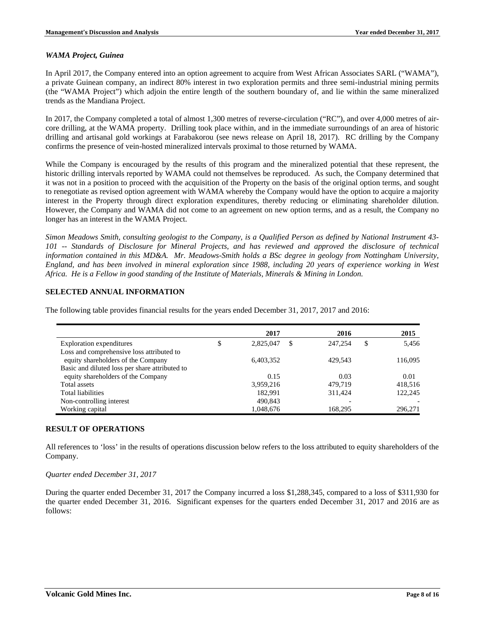### *WAMA Project, Guinea*

In April 2017, the Company entered into an option agreement to acquire from West African Associates SARL ("WAMA"), a private Guinean company, an indirect 80% interest in two exploration permits and three semi-industrial mining permits (the "WAMA Project") which adjoin the entire length of the southern boundary of, and lie within the same mineralized trends as the Mandiana Project.

In 2017, the Company completed a total of almost 1,300 metres of reverse-circulation ("RC"), and over 4,000 metres of aircore drilling, at the WAMA property. Drilling took place within, and in the immediate surroundings of an area of historic drilling and artisanal gold workings at Farabakorou (see news release on April 18, 2017). RC drilling by the Company confirms the presence of vein-hosted mineralized intervals proximal to those returned by WAMA.

While the Company is encouraged by the results of this program and the mineralized potential that these represent, the historic drilling intervals reported by WAMA could not themselves be reproduced. As such, the Company determined that it was not in a position to proceed with the acquisition of the Property on the basis of the original option terms, and sought to renegotiate as revised option agreement with WAMA whereby the Company would have the option to acquire a majority interest in the Property through direct exploration expenditures, thereby reducing or eliminating shareholder dilution. However, the Company and WAMA did not come to an agreement on new option terms, and as a result, the Company no longer has an interest in the WAMA Project.

*Simon Meadows Smith, consulting geologist to the Company, is a Qualified Person as defined by National Instrument 43- 101 -- Standards of Disclosure for Mineral Projects, and has reviewed and approved the disclosure of technical information contained in this MD&A. Mr. Meadows-Smith holds a BSc degree in geology from Nottingham University, England, and has been involved in mineral exploration since 1988, including 20 years of experience working in West Africa. He is a Fellow in good standing of the Institute of Materials, Minerals & Mining in London.*

# **SELECTED ANNUAL INFORMATION**

The following table provides financial results for the years ended December 31, 2017, 2017 and 2016:

|                                                | 2017            | 2016          |     | 2015    |
|------------------------------------------------|-----------------|---------------|-----|---------|
| Exploration expenditures                       | \$<br>2,825,047 | \$<br>247,254 | \$. | 5.456   |
| Loss and comprehensive loss attributed to      |                 |               |     |         |
| equity shareholders of the Company             | 6.403.352       | 429.543       |     | 116,095 |
| Basic and diluted loss per share attributed to |                 |               |     |         |
| equity shareholders of the Company             | 0.15            | 0.03          |     | 0.01    |
| Total assets                                   | 3,959,216       | 479.719       |     | 418,516 |
| Total liabilities                              | 182.991         | 311.424       |     | 122,245 |
| Non-controlling interest                       | 490,843         |               |     |         |
| Working capital                                | 1,048,676       | 168,295       |     | 296,271 |

# **RESULT OF OPERATIONS**

All references to 'loss' in the results of operations discussion below refers to the loss attributed to equity shareholders of the Company.

#### *Quarter ended December 31, 2017*

During the quarter ended December 31, 2017 the Company incurred a loss \$1,288,345, compared to a loss of \$311,930 for the quarter ended December 31, 2016. Significant expenses for the quarters ended December 31, 2017 and 2016 are as follows: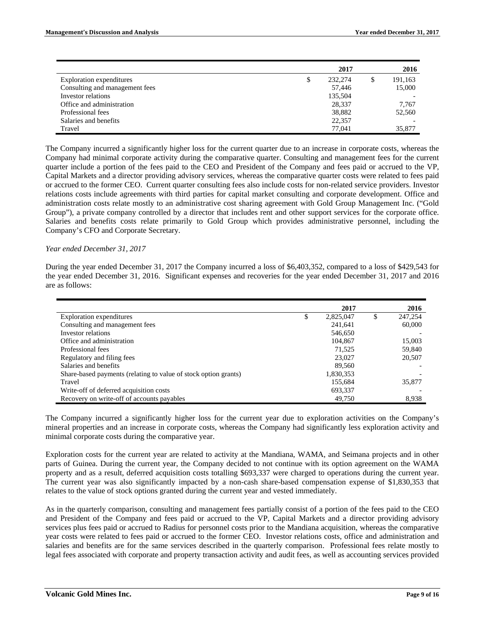|                                | 2017          | 2016          |
|--------------------------------|---------------|---------------|
| Exploration expenditures       | \$<br>232,274 | \$<br>191,163 |
| Consulting and management fees | 57,446        | 15,000        |
| Investor relations             | 135,504       |               |
| Office and administration      | 28,337        | 7,767         |
| Professional fees              | 38,882        | 52,560        |
| Salaries and benefits          | 22,357        |               |
| Travel                         | 77.041        | 35,877        |

The Company incurred a significantly higher loss for the current quarter due to an increase in corporate costs, whereas the Company had minimal corporate activity during the comparative quarter. Consulting and management fees for the current quarter include a portion of the fees paid to the CEO and President of the Company and fees paid or accrued to the VP, Capital Markets and a director providing advisory services, whereas the comparative quarter costs were related to fees paid or accrued to the former CEO. Current quarter consulting fees also include costs for non-related service providers. Investor relations costs include agreements with third parties for capital market consulting and corporate development. Office and administration costs relate mostly to an administrative cost sharing agreement with Gold Group Management Inc. ("Gold Group"), a private company controlled by a director that includes rent and other support services for the corporate office. Salaries and benefits costs relate primarily to Gold Group which provides administrative personnel, including the Company's CFO and Corporate Secretary.

#### *Year ended December 31, 2017*

During the year ended December 31, 2017 the Company incurred a loss of \$6,403,352, compared to a loss of \$429,543 for the year ended December 31, 2016. Significant expenses and recoveries for the year ended December 31, 2017 and 2016 are as follows:

|                                                                 | 2017            |   | 2016    |
|-----------------------------------------------------------------|-----------------|---|---------|
| Exploration expenditures                                        | \$<br>2,825,047 | S | 247,254 |
| Consulting and management fees                                  | 241,641         |   | 60,000  |
| Investor relations                                              | 546,650         |   |         |
| Office and administration                                       | 104,867         |   | 15,003  |
| Professional fees                                               | 71,525          |   | 59,840  |
| Regulatory and filing fees                                      | 23,027          |   | 20,507  |
| Salaries and benefits                                           | 89,560          |   |         |
| Share-based payments (relating to value of stock option grants) | 1,830,353       |   |         |
| Travel                                                          | 155,684         |   | 35,877  |
| Write-off of deferred acquisition costs                         | 693,337         |   |         |
| Recovery on write-off of accounts payables                      | 49,750          |   | 8,938   |

The Company incurred a significantly higher loss for the current year due to exploration activities on the Company's mineral properties and an increase in corporate costs, whereas the Company had significantly less exploration activity and minimal corporate costs during the comparative year.

Exploration costs for the current year are related to activity at the Mandiana, WAMA, and Seimana projects and in other parts of Guinea. During the current year, the Company decided to not continue with its option agreement on the WAMA property and as a result, deferred acquisition costs totalling \$693,337 were charged to operations during the current year. The current year was also significantly impacted by a non-cash share-based compensation expense of \$1,830,353 that relates to the value of stock options granted during the current year and vested immediately.

As in the quarterly comparison, consulting and management fees partially consist of a portion of the fees paid to the CEO and President of the Company and fees paid or accrued to the VP, Capital Markets and a director providing advisory services plus fees paid or accrued to Radius for personnel costs prior to the Mandiana acquisition, whereas the comparative year costs were related to fees paid or accrued to the former CEO. Investor relations costs, office and administration and salaries and benefits are for the same services described in the quarterly comparison. Professional fees relate mostly to legal fees associated with corporate and property transaction activity and audit fees, as well as accounting services provided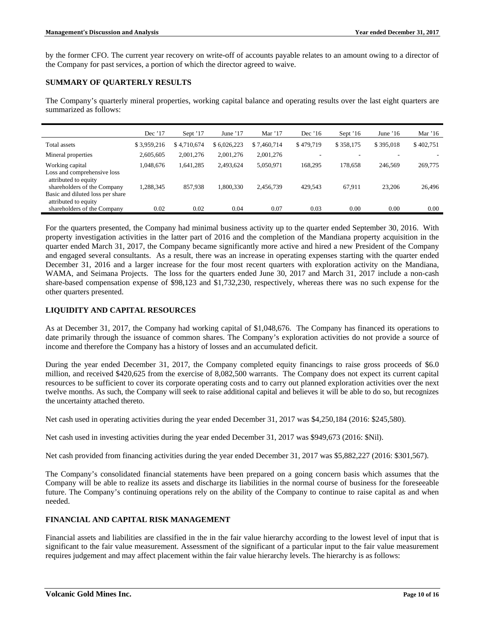by the former CFO. The current year recovery on write-off of accounts payable relates to an amount owing to a director of the Company for past services, a portion of which the director agreed to waive.

# **SUMMARY OF QUARTERLY RESULTS**

The Company's quarterly mineral properties, working capital balance and operating results over the last eight quarters are summarized as follows:

|                                                          | Dec $'17$   | Sept '17    | June $17$   | Mar $'17$   | Dec '16   | Sept $16$ | June $16$ | Mar $16$  |
|----------------------------------------------------------|-------------|-------------|-------------|-------------|-----------|-----------|-----------|-----------|
| Total assets                                             | \$3,959,216 | \$4,710,674 | \$6,026,223 | \$7,460,714 | \$479,719 | \$358,175 | \$395,018 | \$402,751 |
| Mineral properties                                       | 2,605,605   | 2,001,276   | 2,001,276   | 2,001,276   |           |           |           |           |
| Working capital                                          | 1,048,676   | 1,641,285   | 2,493,624   | 5,050,971   | 168.295   | 178,658   | 246,569   | 269,775   |
| Loss and comprehensive loss<br>attributed to equity      |             |             |             |             |           |           |           |           |
| shareholders of the Company                              | 1,288,345   | 857,938     | 1.800.330   | 2,456,739   | 429,543   | 67,911    | 23,206    | 26,496    |
| Basic and diluted loss per share<br>attributed to equity |             |             |             |             |           |           |           |           |
| shareholders of the Company                              | 0.02        | 0.02        | 0.04        | 0.07        | 0.03      | 0.00      | 0.00      | 0.00      |

For the quarters presented, the Company had minimal business activity up to the quarter ended September 30, 2016. With property investigation activities in the latter part of 2016 and the completion of the Mandiana property acquisition in the quarter ended March 31, 2017, the Company became significantly more active and hired a new President of the Company and engaged several consultants. As a result, there was an increase in operating expenses starting with the quarter ended December 31, 2016 and a larger increase for the four most recent quarters with exploration activity on the Mandiana, WAMA, and Seimana Projects. The loss for the quarters ended June 30, 2017 and March 31, 2017 include a non-cash share-based compensation expense of \$98,123 and \$1,732,230, respectively, whereas there was no such expense for the other quarters presented.

# **LIQUIDITY AND CAPITAL RESOURCES**

As at December 31, 2017, the Company had working capital of \$1,048,676. The Company has financed its operations to date primarily through the issuance of common shares. The Company's exploration activities do not provide a source of income and therefore the Company has a history of losses and an accumulated deficit.

During the year ended December 31, 2017, the Company completed equity financings to raise gross proceeds of \$6.0 million, and received \$420,625 from the exercise of 8,082,500 warrants. The Company does not expect its current capital resources to be sufficient to cover its corporate operating costs and to carry out planned exploration activities over the next twelve months. As such, the Company will seek to raise additional capital and believes it will be able to do so, but recognizes the uncertainty attached thereto.

Net cash used in operating activities during the year ended December 31, 2017 was \$4,250,184 (2016: \$245,580).

Net cash used in investing activities during the year ended December 31, 2017 was \$949,673 (2016: \$Nil).

Net cash provided from financing activities during the year ended December 31, 2017 was \$5,882,227 (2016: \$301,567).

The Company's consolidated financial statements have been prepared on a going concern basis which assumes that the Company will be able to realize its assets and discharge its liabilities in the normal course of business for the foreseeable future. The Company's continuing operations rely on the ability of the Company to continue to raise capital as and when needed.

# **FINANCIAL AND CAPITAL RISK MANAGEMENT**

Financial assets and liabilities are classified in the in the fair value hierarchy according to the lowest level of input that is significant to the fair value measurement. Assessment of the significant of a particular input to the fair value measurement requires judgement and may affect placement within the fair value hierarchy levels. The hierarchy is as follows: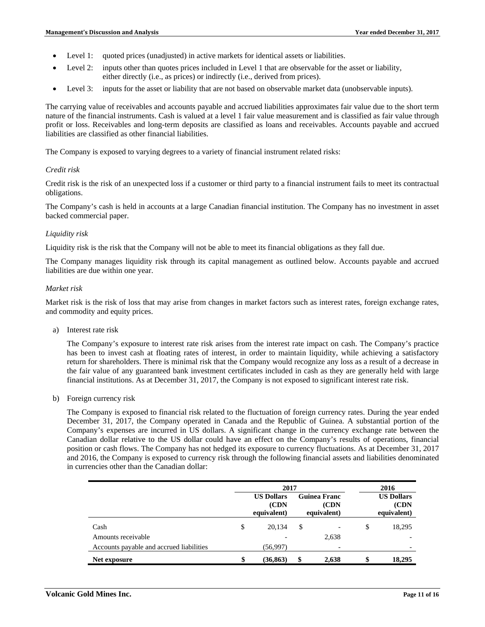- Level 1: quoted prices (unadjusted) in active markets for identical assets or liabilities.
- Level 2: inputs other than quotes prices included in Level 1 that are observable for the asset or liability, either directly (i.e., as prices) or indirectly (i.e., derived from prices).
- Level 3: inputs for the asset or liability that are not based on observable market data (unobservable inputs).

The carrying value of receivables and accounts payable and accrued liabilities approximates fair value due to the short term nature of the financial instruments. Cash is valued at a level 1 fair value measurement and is classified as fair value through profit or loss. Receivables and long-term deposits are classified as loans and receivables. Accounts payable and accrued liabilities are classified as other financial liabilities.

The Company is exposed to varying degrees to a variety of financial instrument related risks:

### *Credit risk*

Credit risk is the risk of an unexpected loss if a customer or third party to a financial instrument fails to meet its contractual obligations.

The Company's cash is held in accounts at a large Canadian financial institution. The Company has no investment in asset backed commercial paper.

### *Liquidity risk*

Liquidity risk is the risk that the Company will not be able to meet its financial obligations as they fall due.

The Company manages liquidity risk through its capital management as outlined below. Accounts payable and accrued liabilities are due within one year.

#### *Market risk*

Market risk is the risk of loss that may arise from changes in market factors such as interest rates, foreign exchange rates, and commodity and equity prices.

a) Interest rate risk

The Company's exposure to interest rate risk arises from the interest rate impact on cash. The Company's practice has been to invest cash at floating rates of interest, in order to maintain liquidity, while achieving a satisfactory return for shareholders. There is minimal risk that the Company would recognize any loss as a result of a decrease in the fair value of any guaranteed bank investment certificates included in cash as they are generally held with large financial institutions. As at December 31, 2017, the Company is not exposed to significant interest rate risk.

b) Foreign currency risk

The Company is exposed to financial risk related to the fluctuation of foreign currency rates. During the year ended December 31, 2017, the Company operated in Canada and the Republic of Guinea. A substantial portion of the Company's expenses are incurred in US dollars. A significant change in the currency exchange rate between the Canadian dollar relative to the US dollar could have an effect on the Company's results of operations, financial position or cash flows. The Company has not hedged its exposure to currency fluctuations. As at December 31, 2017 and 2016, the Company is exposed to currency risk through the following financial assets and liabilities denominated in currencies other than the Canadian dollar:

|                                          |                                  | 2017      | 2016 |       |                                          |        |  |
|------------------------------------------|----------------------------------|-----------|------|-------|------------------------------------------|--------|--|
|                                          | <b>US Dollars</b><br>equivalent) |           |      |       | <b>US Dollars</b><br>(CDN<br>equivalent) |        |  |
| Cash                                     | \$                               | 20,134    | \$   |       | \$                                       | 18,295 |  |
| Amounts receivable                       |                                  |           |      | 2,638 |                                          |        |  |
| Accounts payable and accrued liabilities |                                  | (56,997)  |      |       |                                          |        |  |
| Net exposure                             |                                  | (36, 863) | \$   | 2,638 | \$                                       | 18,295 |  |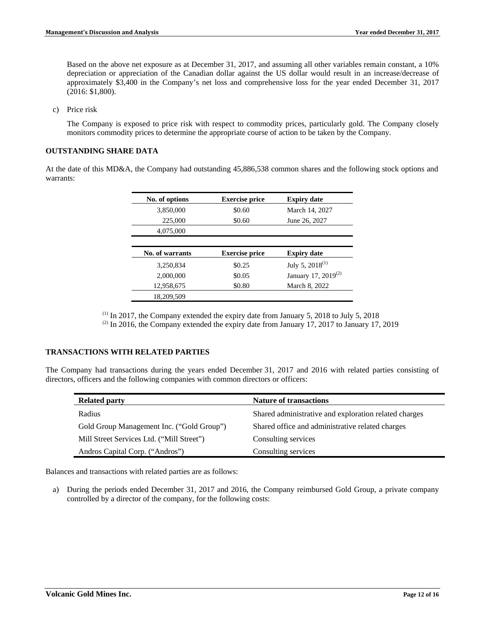Based on the above net exposure as at December 31, 2017, and assuming all other variables remain constant, a 10% depreciation or appreciation of the Canadian dollar against the US dollar would result in an increase/decrease of approximately \$3,400 in the Company's net loss and comprehensive loss for the year ended December 31, 2017 (2016: \$1,800).

c) Price risk

The Company is exposed to price risk with respect to commodity prices, particularly gold. The Company closely monitors commodity prices to determine the appropriate course of action to be taken by the Company.

# **OUTSTANDING SHARE DATA**

At the date of this MD&A, the Company had outstanding 45,886,538 common shares and the following stock options and warrants:

| No. of options  | <b>Exercise price</b> | <b>Expiry date</b>              |
|-----------------|-----------------------|---------------------------------|
| 3,850,000       | \$0.60                | March 14, 2027                  |
| 225,000         | \$0.60                | June 26, 2027                   |
| 4,075,000       |                       |                                 |
|                 |                       |                                 |
|                 |                       |                                 |
| No. of warrants | <b>Exercise price</b> | <b>Expiry date</b>              |
| 3.250.834       | \$0.25                | July 5, $2018^{(1)}$            |
| 2,000,000       | \$0.05                | January 17, 2019 <sup>(2)</sup> |
| 12,958,675      | \$0.80                | March 8, 2022                   |

 $<sup>(1)</sup>$  In 2017, the Company extended the expiry date from January 5, 2018 to July 5, 2018</sup>  $(2)$  In 2016, the Company extended the expiry date from January 17, 2017 to January 17, 2019

# **TRANSACTIONS WITH RELATED PARTIES**

The Company had transactions during the years ended December 31, 2017 and 2016 with related parties consisting of directors, officers and the following companies with common directors or officers:

| <b>Related party</b>                      | <b>Nature of transactions</b>                         |
|-------------------------------------------|-------------------------------------------------------|
| Radius                                    | Shared administrative and exploration related charges |
| Gold Group Management Inc. ("Gold Group") | Shared office and administrative related charges      |
| Mill Street Services Ltd. ("Mill Street") | Consulting services                                   |
| Andros Capital Corp. ("Andros")           | Consulting services                                   |

Balances and transactions with related parties are as follows:

a) During the periods ended December 31, 2017 and 2016, the Company reimbursed Gold Group, a private company controlled by a director of the company, for the following costs: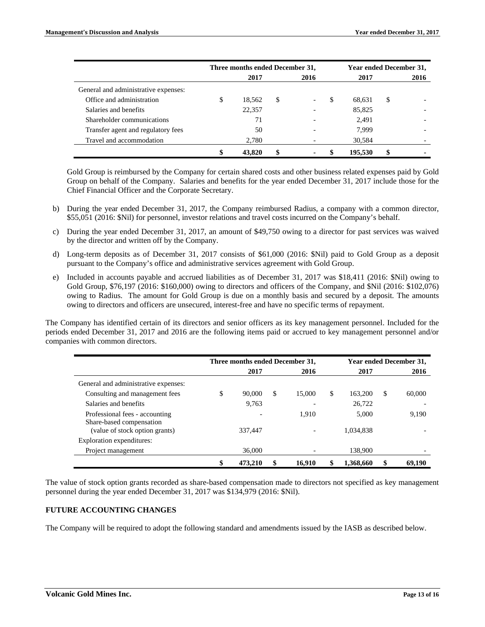|                                      |    | Three months ended December 31, | <b>Year ended December 31,</b> |    |         |      |
|--------------------------------------|----|---------------------------------|--------------------------------|----|---------|------|
|                                      |    | 2017                            | 2016                           |    | 2017    | 2016 |
| General and administrative expenses: |    |                                 |                                |    |         |      |
| Office and administration            | ъD | 18.562                          | \$<br>$\overline{\phantom{a}}$ | \$ | 68,631  | \$   |
| Salaries and benefits                |    | 22,357                          |                                |    | 85,825  |      |
| Shareholder communications           |    | 71                              | $\overline{\phantom{0}}$       |    | 2.491   |      |
| Transfer agent and regulatory fees   |    | 50                              |                                |    | 7.999   |      |
| Travel and accommodation             |    | 2,780                           | $\overline{\phantom{0}}$       |    | 30,584  |      |
|                                      |    | 43,820                          |                                |    | 195,530 |      |

Gold Group is reimbursed by the Company for certain shared costs and other business related expenses paid by Gold Group on behalf of the Company. Salaries and benefits for the year ended December 31, 2017 include those for the Chief Financial Officer and the Corporate Secretary.

- b) During the year ended December 31, 2017, the Company reimbursed Radius, a company with a common director, \$55,051 (2016: \$Nil) for personnel, investor relations and travel costs incurred on the Company's behalf.
- c) During the year ended December 31, 2017, an amount of \$49,750 owing to a director for past services was waived by the director and written off by the Company.
- d) Long-term deposits as of December 31, 2017 consists of \$61,000 (2016: \$Nil) paid to Gold Group as a deposit pursuant to the Company's office and administrative services agreement with Gold Group.
- e) Included in accounts payable and accrued liabilities as of December 31, 2017 was \$18,411 (2016: \$Nil) owing to Gold Group, \$76,197 (2016: \$160,000) owing to directors and officers of the Company, and \$Nil (2016: \$102,076) owing to Radius. The amount for Gold Group is due on a monthly basis and secured by a deposit. The amounts owing to directors and officers are unsecured, interest-free and have no specific terms of repayment.

The Company has identified certain of its directors and senior officers as its key management personnel. Included for the periods ended December 31, 2017 and 2016 are the following items paid or accrued to key management personnel and/or companies with common directors.

|                                                            | Three months ended December 31, |         |    |        |    | <b>Year ended December 31,</b> |   |        |
|------------------------------------------------------------|---------------------------------|---------|----|--------|----|--------------------------------|---|--------|
|                                                            |                                 | 2017    |    | 2016   |    | 2017                           |   | 2016   |
| General and administrative expenses:                       |                                 |         |    |        |    |                                |   |        |
| Consulting and management fees                             | \$                              | 90,000  | \$ | 15,000 | \$ | 163,200                        | S | 60,000 |
| Salaries and benefits                                      |                                 | 9.763   |    |        |    | 26,722                         |   |        |
| Professional fees - accounting<br>Share-based compensation |                                 |         |    | 1,910  |    | 5,000                          |   | 9,190  |
| (value of stock option grants)                             |                                 | 337,447 |    |        |    | 1.034.838                      |   |        |
| Exploration expenditures:                                  |                                 |         |    |        |    |                                |   |        |
| Project management                                         |                                 | 36,000  |    |        |    | 138,900                        |   |        |
|                                                            | \$                              | 473.210 | \$ | 16,910 |    | 1,368,660                      |   | 69,190 |

The value of stock option grants recorded as share-based compensation made to directors not specified as key management personnel during the year ended December 31, 2017 was \$134,979 (2016: \$Nil).

# **FUTURE ACCOUNTING CHANGES**

The Company will be required to adopt the following standard and amendments issued by the IASB as described below.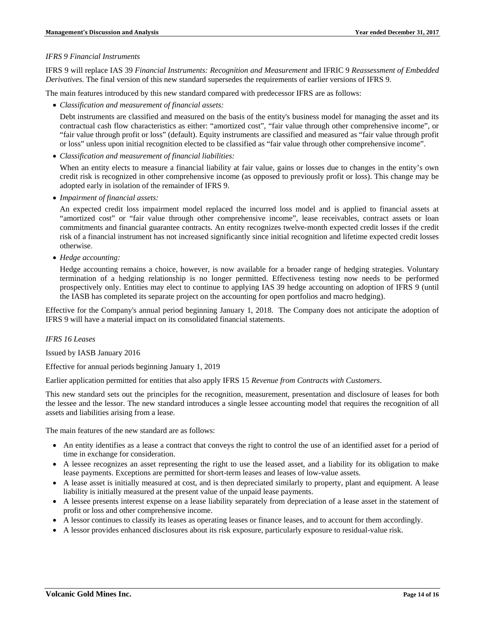### *IFRS 9 Financial Instruments*

IFRS 9 will replace IAS 39 *Financial Instruments: Recognition and Measurement* and IFRIC 9 *Reassessment of Embedded Derivatives*. The final version of this new standard supersedes the requirements of earlier versions of IFRS 9.

The main features introduced by this new standard compared with predecessor IFRS are as follows:

• *Classification and measurement of financial assets:*

Debt instruments are classified and measured on the basis of the entity's business model for managing the asset and its contractual cash flow characteristics as either: "amortized cost", "fair value through other comprehensive income", or "fair value through profit or loss" (default). Equity instruments are classified and measured as "fair value through profit or loss" unless upon initial recognition elected to be classified as "fair value through other comprehensive income".

• *Classification and measurement of financial liabilities:*

When an entity elects to measure a financial liability at fair value, gains or losses due to changes in the entity's own credit risk is recognized in other comprehensive income (as opposed to previously profit or loss). This change may be adopted early in isolation of the remainder of IFRS 9.

• *Impairment of financial assets:*

An expected credit loss impairment model replaced the incurred loss model and is applied to financial assets at "amortized cost" or "fair value through other comprehensive income", lease receivables, contract assets or loan commitments and financial guarantee contracts. An entity recognizes twelve-month expected credit losses if the credit risk of a financial instrument has not increased significantly since initial recognition and lifetime expected credit losses otherwise.

• *Hedge accounting:*

Hedge accounting remains a choice, however, is now available for a broader range of hedging strategies. Voluntary termination of a hedging relationship is no longer permitted. Effectiveness testing now needs to be performed prospectively only. Entities may elect to continue to applying IAS 39 hedge accounting on adoption of IFRS 9 (until the IASB has completed its separate project on the accounting for open portfolios and macro hedging).

Effective for the Company's annual period beginning January 1, 2018. The Company does not anticipate the adoption of IFRS 9 will have a material impact on its consolidated financial statements.

#### *IFRS 16 Leases*

Issued by IASB January 2016

Effective for annual periods beginning January 1, 2019

Earlier application permitted for entities that also apply IFRS 15 *Revenue from Contracts with Customers*.

This new standard sets out the principles for the recognition, measurement, presentation and disclosure of leases for both the lessee and the lessor. The new standard introduces a single lessee accounting model that requires the recognition of all assets and liabilities arising from a lease.

The main features of the new standard are as follows:

- An entity identifies as a lease a contract that conveys the right to control the use of an identified asset for a period of time in exchange for consideration.
- A lessee recognizes an asset representing the right to use the leased asset, and a liability for its obligation to make lease payments. Exceptions are permitted for short-term leases and leases of low-value assets.
- A lease asset is initially measured at cost, and is then depreciated similarly to property, plant and equipment. A lease liability is initially measured at the present value of the unpaid lease payments.
- A lessee presents interest expense on a lease liability separately from depreciation of a lease asset in the statement of profit or loss and other comprehensive income.
- A lessor continues to classify its leases as operating leases or finance leases, and to account for them accordingly.
- A lessor provides enhanced disclosures about its risk exposure, particularly exposure to residual-value risk.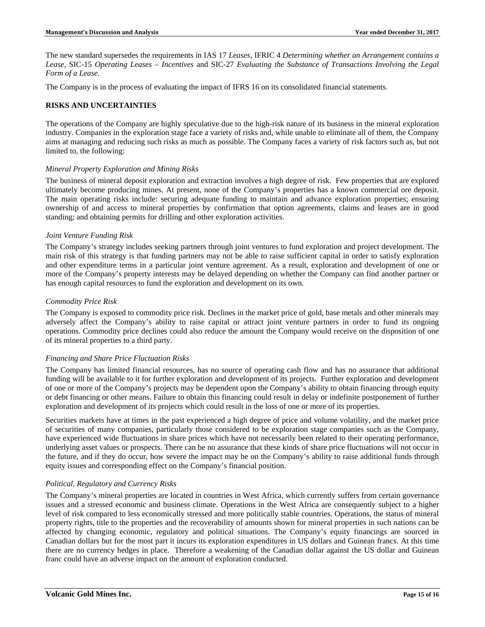The new standard supersedes the requirements in IAS 17 *Leases*, IFRIC 4 *Determining whether an Arrangement contains a Lease*, SIC-15 *Operating Leases – Incentives* and SIC-27 *Evaluating the Substance of Transactions Involving the Legal Form of a Lease*.

The Company is in the process of evaluating the impact of IFRS 16 on its consolidated financial statements.

# **RISKS AND UNCERTAINTIES**

The operations of the Company are highly speculative due to the high-risk nature of its business in the mineral exploration industry. Companies in the exploration stage face a variety of risks and, while unable to eliminate all of them, the Company aims at managing and reducing such risks as much as possible. The Company faces a variety of risk factors such as, but not limited to, the following:

### *Mineral Property Exploration and Mining Risks*

The business of mineral deposit exploration and extraction involves a high degree of risk. Few properties that are explored ultimately become producing mines. At present, none of the Company's properties has a known commercial ore deposit. The main operating risks include: securing adequate funding to maintain and advance exploration properties; ensuring ownership of and access to mineral properties by confirmation that option agreements, claims and leases are in good standing; and obtaining permits for drilling and other exploration activities.

### *Joint Venture Funding Risk*

The Company's strategy includes seeking partners through joint ventures to fund exploration and project development. The main risk of this strategy is that funding partners may not be able to raise sufficient capital in order to satisfy exploration and other expenditure terms in a particular joint venture agreement. As a result, exploration and development of one or more of the Company's property interests may be delayed depending on whether the Company can find another partner or has enough capital resources to fund the exploration and development on its own.

### *Commodity Price Risk*

The Company is exposed to commodity price risk. Declines in the market price of gold, base metals and other minerals may adversely affect the Company's ability to raise capital or attract joint venture partners in order to fund its ongoing operations. Commodity price declines could also reduce the amount the Company would receive on the disposition of one of its mineral properties to a third party.

#### *Financing and Share Price Fluctuation Risks*

The Company has limited financial resources, has no source of operating cash flow and has no assurance that additional funding will be available to it for further exploration and development of its projects. Further exploration and development of one or more of the Company's projects may be dependent upon the Company's ability to obtain financing through equity or debt financing or other means. Failure to obtain this financing could result in delay or indefinite postponement of further exploration and development of its projects which could result in the loss of one or more of its properties.

Securities markets have at times in the past experienced a high degree of price and volume volatility, and the market price of securities of many companies, particularly those considered to be exploration stage companies such as the Company, have experienced wide fluctuations in share prices which have not necessarily been related to their operating performance, underlying asset values or prospects. There can be no assurance that these kinds of share price fluctuations will not occur in the future, and if they do occur, how severe the impact may be on the Company's ability to raise additional funds through equity issues and corresponding effect on the Company's financial position.

# *Political, Regulatory and Currency Risks*

The Company's mineral properties are located in countries in West Africa, which currently suffers from certain governance issues and a stressed economic and business climate. Operations in the West Africa are consequently subject to a higher level of risk compared to less economically stressed and more politically stable countries. Operations, the status of mineral property rights, title to the properties and the recoverability of amounts shown for mineral properties in such nations can be affected by changing economic, regulatory and political situations. The Company's equity financings are sourced in Canadian dollars but for the most part it incurs its exploration expenditures in US dollars and Guinean francs. At this time there are no currency hedges in place. Therefore a weakening of the Canadian dollar against the US dollar and Guinean franc could have an adverse impact on the amount of exploration conducted.